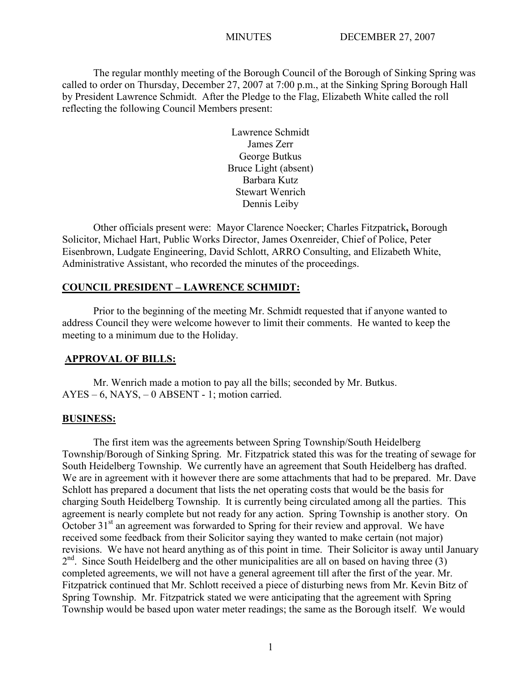The regular monthly meeting of the Borough Council of the Borough of Sinking Spring was called to order on Thursday, December 27, 2007 at 7:00 p.m., at the Sinking Spring Borough Hall by President Lawrence Schmidt. After the Pledge to the Flag, Elizabeth White called the roll reflecting the following Council Members present:

> Lawrence Schmidt James Zerr George Butkus Bruce Light (absent) Barbara Kutz Stewart Wenrich Dennis Leiby

Other officials present were: Mayor Clarence Noecker; Charles Fitzpatrick**,** Borough Solicitor, Michael Hart, Public Works Director, James Oxenreider, Chief of Police, Peter Eisenbrown, Ludgate Engineering, David Schlott, ARRO Consulting, and Elizabeth White, Administrative Assistant, who recorded the minutes of the proceedings.

## **COUNCIL PRESIDENT – LAWRENCE SCHMIDT:**

Prior to the beginning of the meeting Mr. Schmidt requested that if anyone wanted to address Council they were welcome however to limit their comments. He wanted to keep the meeting to a minimum due to the Holiday.

#### **APPROVAL OF BILLS:**

Mr. Wenrich made a motion to pay all the bills; seconded by Mr. Butkus. AYES – 6, NAYS, – 0 ABSENT - 1; motion carried.

## **BUSINESS:**

The first item was the agreements between Spring Township/South Heidelberg Township/Borough of Sinking Spring. Mr. Fitzpatrick stated this was for the treating of sewage for South Heidelberg Township. We currently have an agreement that South Heidelberg has drafted. We are in agreement with it however there are some attachments that had to be prepared. Mr. Dave Schlott has prepared a document that lists the net operating costs that would be the basis for charging South Heidelberg Township. It is currently being circulated among all the parties. This agreement is nearly complete but not ready for any action. Spring Township is another story. On October  $31<sup>st</sup>$  an agreement was forwarded to Spring for their review and approval. We have received some feedback from their Solicitor saying they wanted to make certain (not major) revisions. We have not heard anything as of this point in time. Their Solicitor is away until January  $2<sup>nd</sup>$ . Since South Heidelberg and the other municipalities are all on based on having three (3) completed agreements, we will not have a general agreement till after the first of the year. Mr. Fitzpatrick continued that Mr. Schlott received a piece of disturbing news from Mr. Kevin Bitz of Spring Township. Mr. Fitzpatrick stated we were anticipating that the agreement with Spring Township would be based upon water meter readings; the same as the Borough itself. We would

1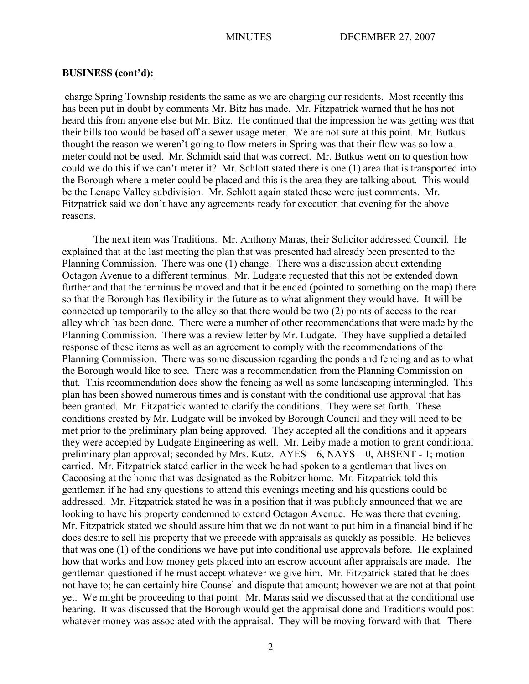charge Spring Township residents the same as we are charging our residents. Most recently this has been put in doubt by comments Mr. Bitz has made. Mr. Fitzpatrick warned that he has not heard this from anyone else but Mr. Bitz. He continued that the impression he was getting was that their bills too would be based off a sewer usage meter. We are not sure at this point. Mr. Butkus thought the reason we weren't going to flow meters in Spring was that their flow was so low a meter could not be used. Mr. Schmidt said that was correct. Mr. Butkus went on to question how could we do this if we can't meter it? Mr. Schlott stated there is one (1) area that is transported into the Borough where a meter could be placed and this is the area they are talking about. This would be the Lenape Valley subdivision. Mr. Schlott again stated these were just comments. Mr. Fitzpatrick said we don't have any agreements ready for execution that evening for the above reasons.

The next item was Traditions. Mr. Anthony Maras, their Solicitor addressed Council. He explained that at the last meeting the plan that was presented had already been presented to the Planning Commission. There was one (1) change. There was a discussion about extending Octagon Avenue to a different terminus. Mr. Ludgate requested that this not be extended down further and that the terminus be moved and that it be ended (pointed to something on the map) there so that the Borough has flexibility in the future as to what alignment they would have. It will be connected up temporarily to the alley so that there would be two (2) points of access to the rear alley which has been done. There were a number of other recommendations that were made by the Planning Commission. There was a review letter by Mr. Ludgate. They have supplied a detailed response of these items as well as an agreement to comply with the recommendations of the Planning Commission. There was some discussion regarding the ponds and fencing and as to what the Borough would like to see. There was a recommendation from the Planning Commission on that. This recommendation does show the fencing as well as some landscaping intermingled. This plan has been showed numerous times and is constant with the conditional use approval that has been granted. Mr. Fitzpatrick wanted to clarify the conditions. They were set forth. These conditions created by Mr. Ludgate will be invoked by Borough Council and they will need to be met prior to the preliminary plan being approved. They accepted all the conditions and it appears they were accepted by Ludgate Engineering as well. Mr. Leiby made a motion to grant conditional preliminary plan approval; seconded by Mrs. Kutz. AYES – 6, NAYS – 0, ABSENT - 1; motion carried. Mr. Fitzpatrick stated earlier in the week he had spoken to a gentleman that lives on Cacoosing at the home that was designated as the Robitzer home. Mr. Fitzpatrick told this gentleman if he had any questions to attend this evenings meeting and his questions could be addressed. Mr. Fitzpatrick stated he was in a position that it was publicly announced that we are looking to have his property condemned to extend Octagon Avenue. He was there that evening. Mr. Fitzpatrick stated we should assure him that we do not want to put him in a financial bind if he does desire to sell his property that we precede with appraisals as quickly as possible. He believes that was one (1) of the conditions we have put into conditional use approvals before. He explained how that works and how money gets placed into an escrow account after appraisals are made. The gentleman questioned if he must accept whatever we give him. Mr. Fitzpatrick stated that he does not have to; he can certainly hire Counsel and dispute that amount; however we are not at that point yet. We might be proceeding to that point. Mr. Maras said we discussed that at the conditional use hearing. It was discussed that the Borough would get the appraisal done and Traditions would post whatever money was associated with the appraisal. They will be moving forward with that. There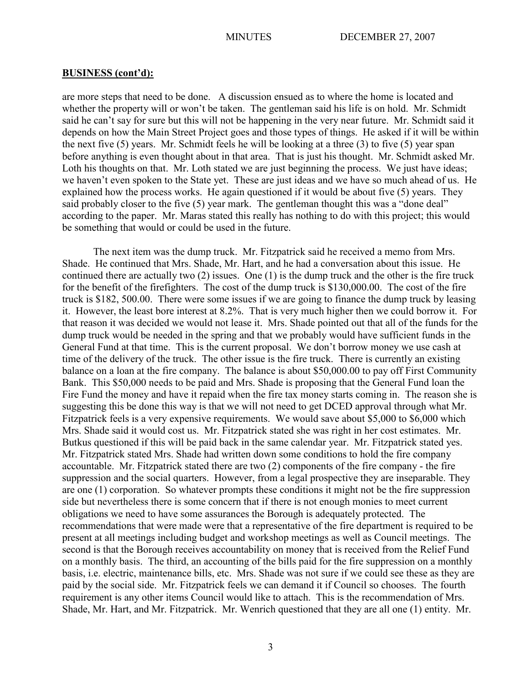are more steps that need to be done. A discussion ensued as to where the home is located and whether the property will or won't be taken. The gentleman said his life is on hold. Mr. Schmidt said he can't say for sure but this will not be happening in the very near future. Mr. Schmidt said it depends on how the Main Street Project goes and those types of things. He asked if it will be within the next five (5) years. Mr. Schmidt feels he will be looking at a three (3) to five (5) year span before anything is even thought about in that area. That is just his thought. Mr. Schmidt asked Mr. Loth his thoughts on that. Mr. Loth stated we are just beginning the process. We just have ideas; we haven't even spoken to the State yet. These are just ideas and we have so much ahead of us. He explained how the process works. He again questioned if it would be about five (5) years. They said probably closer to the five (5) year mark. The gentleman thought this was a "done deal" according to the paper. Mr. Maras stated this really has nothing to do with this project; this would be something that would or could be used in the future.

The next item was the dump truck. Mr. Fitzpatrick said he received a memo from Mrs. Shade. He continued that Mrs. Shade, Mr. Hart, and he had a conversation about this issue. He continued there are actually two (2) issues. One (1) is the dump truck and the other is the fire truck for the benefit of the firefighters. The cost of the dump truck is \$130,000.00. The cost of the fire truck is \$182, 500.00. There were some issues if we are going to finance the dump truck by leasing it. However, the least bore interest at 8.2%. That is very much higher then we could borrow it. For that reason it was decided we would not lease it. Mrs. Shade pointed out that all of the funds for the dump truck would be needed in the spring and that we probably would have sufficient funds in the General Fund at that time. This is the current proposal. We don't borrow money we use cash at time of the delivery of the truck. The other issue is the fire truck. There is currently an existing balance on a loan at the fire company. The balance is about \$50,000.00 to pay off First Community Bank. This \$50,000 needs to be paid and Mrs. Shade is proposing that the General Fund loan the Fire Fund the money and have it repaid when the fire tax money starts coming in. The reason she is suggesting this be done this way is that we will not need to get DCED approval through what Mr. Fitzpatrick feels is a very expensive requirements. We would save about \$5,000 to \$6,000 which Mrs. Shade said it would cost us. Mr. Fitzpatrick stated she was right in her cost estimates. Mr. Butkus questioned if this will be paid back in the same calendar year. Mr. Fitzpatrick stated yes. Mr. Fitzpatrick stated Mrs. Shade had written down some conditions to hold the fire company accountable. Mr. Fitzpatrick stated there are two (2) components of the fire company - the fire suppression and the social quarters. However, from a legal prospective they are inseparable. They are one (1) corporation. So whatever prompts these conditions it might not be the fire suppression side but nevertheless there is some concern that if there is not enough monies to meet current obligations we need to have some assurances the Borough is adequately protected. The recommendations that were made were that a representative of the fire department is required to be present at all meetings including budget and workshop meetings as well as Council meetings. The second is that the Borough receives accountability on money that is received from the Relief Fund on a monthly basis. The third, an accounting of the bills paid for the fire suppression on a monthly basis, i.e. electric, maintenance bills, etc. Mrs. Shade was not sure if we could see these as they are paid by the social side. Mr. Fitzpatrick feels we can demand it if Council so chooses. The fourth requirement is any other items Council would like to attach. This is the recommendation of Mrs. Shade, Mr. Hart, and Mr. Fitzpatrick. Mr. Wenrich questioned that they are all one (1) entity. Mr.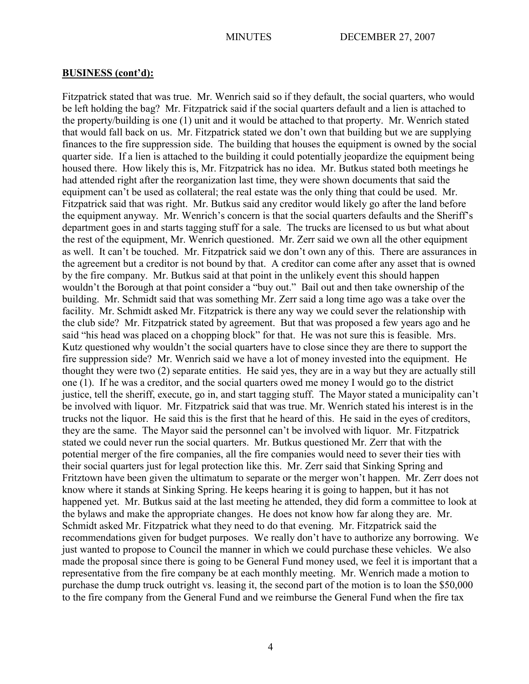Fitzpatrick stated that was true. Mr. Wenrich said so if they default, the social quarters, who would be left holding the bag? Mr. Fitzpatrick said if the social quarters default and a lien is attached to the property/building is one (1) unit and it would be attached to that property. Mr. Wenrich stated that would fall back on us. Mr. Fitzpatrick stated we don't own that building but we are supplying finances to the fire suppression side. The building that houses the equipment is owned by the social quarter side. If a lien is attached to the building it could potentially jeopardize the equipment being housed there. How likely this is, Mr. Fitzpatrick has no idea. Mr. Butkus stated both meetings he had attended right after the reorganization last time, they were shown documents that said the equipment can't be used as collateral; the real estate was the only thing that could be used. Mr. Fitzpatrick said that was right. Mr. Butkus said any creditor would likely go after the land before the equipment anyway. Mr. Wenrich's concern is that the social quarters defaults and the Sheriff's department goes in and starts tagging stuff for a sale. The trucks are licensed to us but what about the rest of the equipment, Mr. Wenrich questioned. Mr. Zerr said we own all the other equipment as well. It can't be touched. Mr. Fitzpatrick said we don't own any of this. There are assurances in the agreement but a creditor is not bound by that. A creditor can come after any asset that is owned by the fire company. Mr. Butkus said at that point in the unlikely event this should happen wouldn't the Borough at that point consider a "buy out." Bail out and then take ownership of the building. Mr. Schmidt said that was something Mr. Zerr said a long time ago was a take over the facility. Mr. Schmidt asked Mr. Fitzpatrick is there any way we could sever the relationship with the club side? Mr. Fitzpatrick stated by agreement. But that was proposed a few years ago and he said "his head was placed on a chopping block" for that. He was not sure this is feasible. Mrs. Kutz questioned why wouldn't the social quarters have to close since they are there to support the fire suppression side? Mr. Wenrich said we have a lot of money invested into the equipment. He thought they were two (2) separate entities. He said yes, they are in a way but they are actually still one (1). If he was a creditor, and the social quarters owed me money I would go to the district justice, tell the sheriff, execute, go in, and start tagging stuff. The Mayor stated a municipality can't be involved with liquor. Mr. Fitzpatrick said that was true. Mr. Wenrich stated his interest is in the trucks not the liquor. He said this is the first that he heard of this. He said in the eyes of creditors, they are the same. The Mayor said the personnel can't be involved with liquor. Mr. Fitzpatrick stated we could never run the social quarters. Mr. Butkus questioned Mr. Zerr that with the potential merger of the fire companies, all the fire companies would need to sever their ties with their social quarters just for legal protection like this. Mr. Zerr said that Sinking Spring and Fritztown have been given the ultimatum to separate or the merger won't happen. Mr. Zerr does not know where it stands at Sinking Spring. He keeps hearing it is going to happen, but it has not happened yet. Mr. Butkus said at the last meeting he attended, they did form a committee to look at the bylaws and make the appropriate changes. He does not know how far along they are. Mr. Schmidt asked Mr. Fitzpatrick what they need to do that evening. Mr. Fitzpatrick said the recommendations given for budget purposes. We really don't have to authorize any borrowing. We just wanted to propose to Council the manner in which we could purchase these vehicles. We also made the proposal since there is going to be General Fund money used, we feel it is important that a representative from the fire company be at each monthly meeting. Mr. Wenrich made a motion to purchase the dump truck outright vs. leasing it, the second part of the motion is to loan the \$50,000 to the fire company from the General Fund and we reimburse the General Fund when the fire tax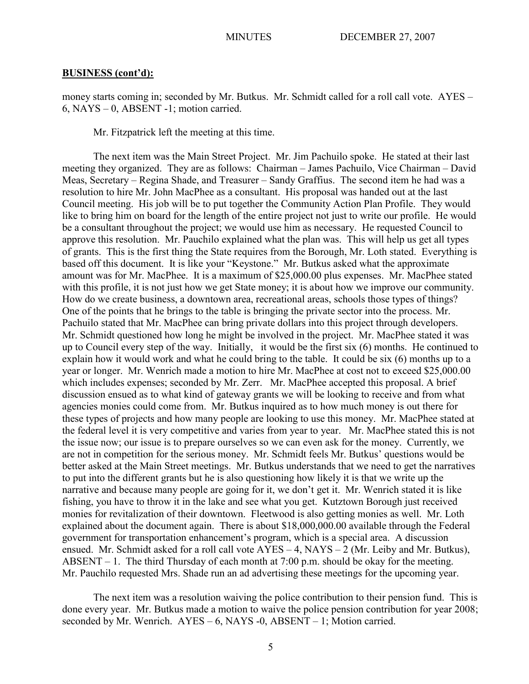money starts coming in; seconded by Mr. Butkus. Mr. Schmidt called for a roll call vote. AYES – 6, NAYS – 0, ABSENT -1; motion carried.

Mr. Fitzpatrick left the meeting at this time.

The next item was the Main Street Project. Mr. Jim Pachuilo spoke. He stated at their last meeting they organized. They are as follows: Chairman – James Pachuilo, Vice Chairman – David Meas, Secretary – Regina Shade, and Treasurer – Sandy Graffius. The second item he had was a resolution to hire Mr. John MacPhee as a consultant. His proposal was handed out at the last Council meeting. His job will be to put together the Community Action Plan Profile. They would like to bring him on board for the length of the entire project not just to write our profile. He would be a consultant throughout the project; we would use him as necessary. He requested Council to approve this resolution. Mr. Pauchilo explained what the plan was. This will help us get all types of grants. This is the first thing the State requires from the Borough, Mr. Loth stated. Everything is based off this document. It is like your "Keystone." Mr. Butkus asked what the approximate amount was for Mr. MacPhee. It is a maximum of \$25,000.00 plus expenses. Mr. MacPhee stated with this profile, it is not just how we get State money; it is about how we improve our community. How do we create business, a downtown area, recreational areas, schools those types of things? One of the points that he brings to the table is bringing the private sector into the process. Mr. Pachuilo stated that Mr. MacPhee can bring private dollars into this project through developers. Mr. Schmidt questioned how long he might be involved in the project. Mr. MacPhee stated it was up to Council every step of the way. Initially, it would be the first six (6) months. He continued to explain how it would work and what he could bring to the table. It could be six (6) months up to a year or longer. Mr. Wenrich made a motion to hire Mr. MacPhee at cost not to exceed \$25,000.00 which includes expenses; seconded by Mr. Zerr. Mr. MacPhee accepted this proposal. A brief discussion ensued as to what kind of gateway grants we will be looking to receive and from what agencies monies could come from. Mr. Butkus inquired as to how much money is out there for these types of projects and how many people are looking to use this money. Mr. MacPhee stated at the federal level it is very competitive and varies from year to year. Mr. MacPhee stated this is not the issue now; our issue is to prepare ourselves so we can even ask for the money. Currently, we are not in competition for the serious money. Mr. Schmidt feels Mr. Butkus' questions would be better asked at the Main Street meetings. Mr. Butkus understands that we need to get the narratives to put into the different grants but he is also questioning how likely it is that we write up the narrative and because many people are going for it, we don't get it. Mr. Wenrich stated it is like fishing, you have to throw it in the lake and see what you get. Kutztown Borough just received monies for revitalization of their downtown. Fleetwood is also getting monies as well. Mr. Loth explained about the document again. There is about \$18,000,000.00 available through the Federal government for transportation enhancement's program, which is a special area. A discussion ensued. Mr. Schmidt asked for a roll call vote AYES – 4, NAYS – 2 (Mr. Leiby and Mr. Butkus), ABSENT – 1. The third Thursday of each month at 7:00 p.m. should be okay for the meeting. Mr. Pauchilo requested Mrs. Shade run an ad advertising these meetings for the upcoming year.

The next item was a resolution waiving the police contribution to their pension fund. This is done every year. Mr. Butkus made a motion to waive the police pension contribution for year 2008; seconded by Mr. Wenrich. AYES – 6, NAYS -0, ABSENT – 1; Motion carried.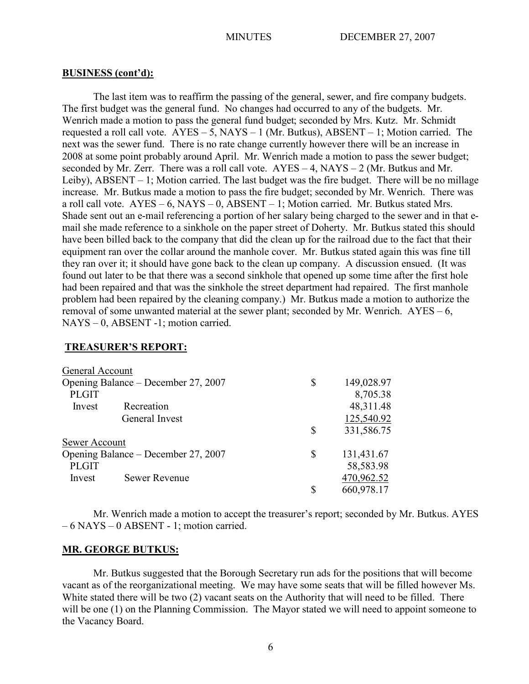The last item was to reaffirm the passing of the general, sewer, and fire company budgets. The first budget was the general fund. No changes had occurred to any of the budgets. Mr. Wenrich made a motion to pass the general fund budget; seconded by Mrs. Kutz. Mr. Schmidt requested a roll call vote.  $AYES - 5$ ,  $NAYS - 1$  (Mr. Butkus),  $ABSENT - 1$ ; Motion carried. The next was the sewer fund. There is no rate change currently however there will be an increase in 2008 at some point probably around April. Mr. Wenrich made a motion to pass the sewer budget; seconded by Mr. Zerr. There was a roll call vote. AYES – 4, NAYS – 2 (Mr. Butkus and Mr. Leiby), ABSENT – 1; Motion carried. The last budget was the fire budget. There will be no millage increase. Mr. Butkus made a motion to pass the fire budget; seconded by Mr. Wenrich. There was a roll call vote.  $AYES - 6$ ,  $NAYS - 0$ ,  $ABSENT - 1$ ; Motion carried. Mr. Butkus stated Mrs. Shade sent out an e-mail referencing a portion of her salary being charged to the sewer and in that email she made reference to a sinkhole on the paper street of Doherty. Mr. Butkus stated this should have been billed back to the company that did the clean up for the railroad due to the fact that their equipment ran over the collar around the manhole cover. Mr. Butkus stated again this was fine till they ran over it; it should have gone back to the clean up company. A discussion ensued. (It was found out later to be that there was a second sinkhole that opened up some time after the first hole had been repaired and that was the sinkhole the street department had repaired. The first manhole problem had been repaired by the cleaning company.) Mr. Butkus made a motion to authorize the removal of some unwanted material at the sewer plant; seconded by Mr. Wenrich. AYES – 6, NAYS – 0, ABSENT -1; motion carried.

### **TREASURER'S REPORT:**

| General Account                     |                      |                  |
|-------------------------------------|----------------------|------------------|
| Opening Balance – December 27, 2007 |                      | \$<br>149,028.97 |
| <b>PLGIT</b>                        |                      | 8,705.38         |
| Invest                              | Recreation           | 48,311.48        |
|                                     | General Invest       | 125,540.92       |
|                                     |                      | \$<br>331,586.75 |
| Sewer Account                       |                      |                  |
| Opening Balance – December 27, 2007 |                      | \$<br>131,431.67 |
| <b>PLGIT</b>                        |                      | 58,583.98        |
| Invest                              | <b>Sewer Revenue</b> | 470,962.52       |
|                                     |                      | \$<br>660,978.17 |

Mr. Wenrich made a motion to accept the treasurer's report; seconded by Mr. Butkus. AYES – 6 NAYS – 0 ABSENT - 1; motion carried.

### **MR. GEORGE BUTKUS:**

Mr. Butkus suggested that the Borough Secretary run ads for the positions that will become vacant as of the reorganizational meeting. We may have some seats that will be filled however Ms. White stated there will be two (2) vacant seats on the Authority that will need to be filled. There will be one (1) on the Planning Commission. The Mayor stated we will need to appoint someone to the Vacancy Board.